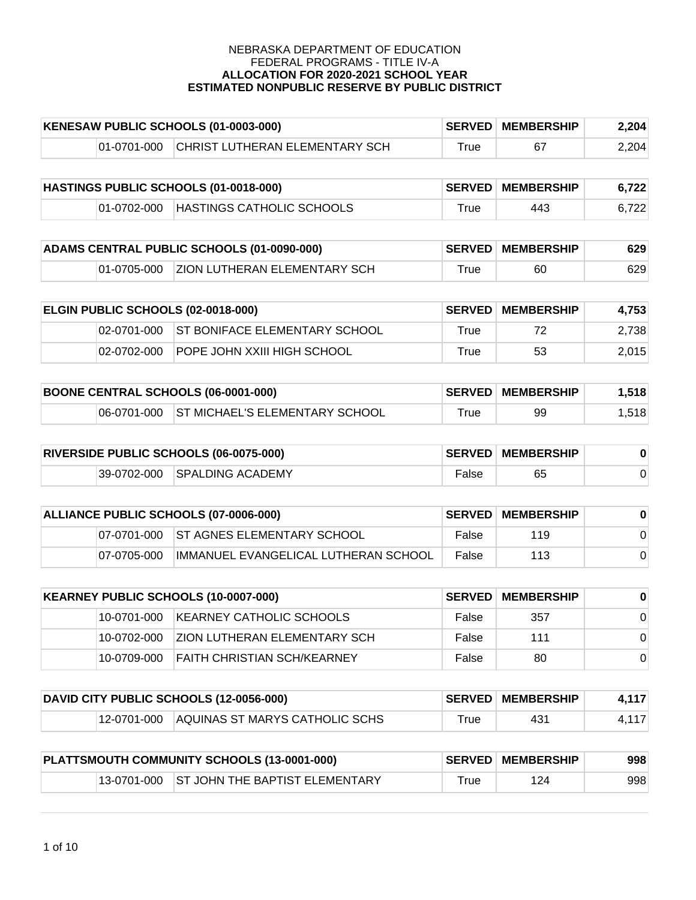| KENESAW PUBLIC SCHOOLS (01-0003-000) |             |                                | <b>SERVED MEMBERSHIP</b> | 2,204 |       |
|--------------------------------------|-------------|--------------------------------|--------------------------|-------|-------|
|                                      | 01-0701-000 | CHRIST LUTHERAN ELEMENTARY SCH | True                     |       | 2.204 |

| HASTINGS PUBLIC SCHOOLS (01-0018-000) |             |                           | <b>SERVED MEMBERSHIP</b> | 6.722 |       |
|---------------------------------------|-------------|---------------------------|--------------------------|-------|-------|
|                                       | 01-0702-000 | HASTINGS CATHOLIC SCHOOLS | ™rue                     | 443   | 6.722 |

| ADAMS CENTRAL PUBLIC SCHOOLS (01-0090-000) |  |                                          | <b>SERVED MEMBERSHIP</b> | 629 |     |
|--------------------------------------------|--|------------------------------------------|--------------------------|-----|-----|
|                                            |  | 01-0705-000 ZION LUTHERAN ELEMENTARY SCH | $^{\mathsf{true}}$       | 60  | 629 |

| <b>ELGIN PUBLIC SCHOOLS (02-0018-000)</b> |             |                                           | <b>SERVED MEMBERSHIP</b> | 4.753 |       |
|-------------------------------------------|-------------|-------------------------------------------|--------------------------|-------|-------|
|                                           |             | 02-0701-000 ST BONIFACE ELEMENTARY SCHOOL | True                     | 72    | 2,738 |
|                                           | 02-0702-000 | IPOPE JOHN XXIII HIGH SCHOOL              | True                     | 53    | 2.015 |

| <b>BOONE CENTRAL SCHOOLS (06-0001-000)</b> |  |                                            | <b>SERVED MEMBERSHIP</b> | 1,518 |       |
|--------------------------------------------|--|--------------------------------------------|--------------------------|-------|-------|
|                                            |  | 06-0701-000 ST MICHAEL'S ELEMENTARY SCHOOL | True                     | 99    | 1.518 |

| <b>RIVERSIDE PUBLIC SCHOOLS (06-0075-000)</b> |  |                              | <b>SERVED MEMBERSHIP</b> |    |  |
|-----------------------------------------------|--|------------------------------|--------------------------|----|--|
|                                               |  | 39-0702-000 SPALDING ACADEMY | False                    | 65 |  |

| ALLIANCE PUBLIC SCHOOLS (07-0006-000) |             |                                        | <b>SERVED MEMBERSHIP</b> |     |  |
|---------------------------------------|-------------|----------------------------------------|--------------------------|-----|--|
|                                       |             | 07-0701-000 ST AGNES ELEMENTARY SCHOOL | False                    | 119 |  |
|                                       | 07-0705-000 | IIMMANUEL EVANGELICAL LUTHERAN SCHOOL  | False                    | 113 |  |

| KEARNEY PUBLIC SCHOOLS (10-0007-000) |               |                                      | <b>SERVED MEMBERSHIP</b> | $\bf{0}$ |          |
|--------------------------------------|---------------|--------------------------------------|--------------------------|----------|----------|
|                                      | 10-0701-000   | <b>IKEARNEY CATHOLIC SCHOOLS</b>     | False                    | 357      | $\Omega$ |
|                                      | 10-0702-000   | <b>IZION LUTHERAN ELEMENTARY SCH</b> | False                    | 111      | $\Omega$ |
|                                      | 10-0709-000 \ | <b>FAITH CHRISTIAN SCH/KEARNEY</b>   | False                    | 80       | $\Omega$ |

| DAVID CITY PUBLIC SCHOOLS (12-0056-000) |  |                                               | <b>SERVED MEMBERSHIP</b> | 4,117 |       |
|-----------------------------------------|--|-----------------------------------------------|--------------------------|-------|-------|
|                                         |  | 12-0701-000   IAQUINAS ST MARYS CATHOLIC SCHS | $\tau$ rue               | 431   | 4,117 |

| PLATTSMOUTH COMMUNITY SCHOOLS (13-0001-000) |  |                                            | <b>SERVED MEMBERSHIP</b> | 998 |     |
|---------------------------------------------|--|--------------------------------------------|--------------------------|-----|-----|
|                                             |  | 13-0701-000 ST JOHN THE BAPTIST ELEMENTARY | $^{\mathsf{r}}$ rue      | 124 | 998 |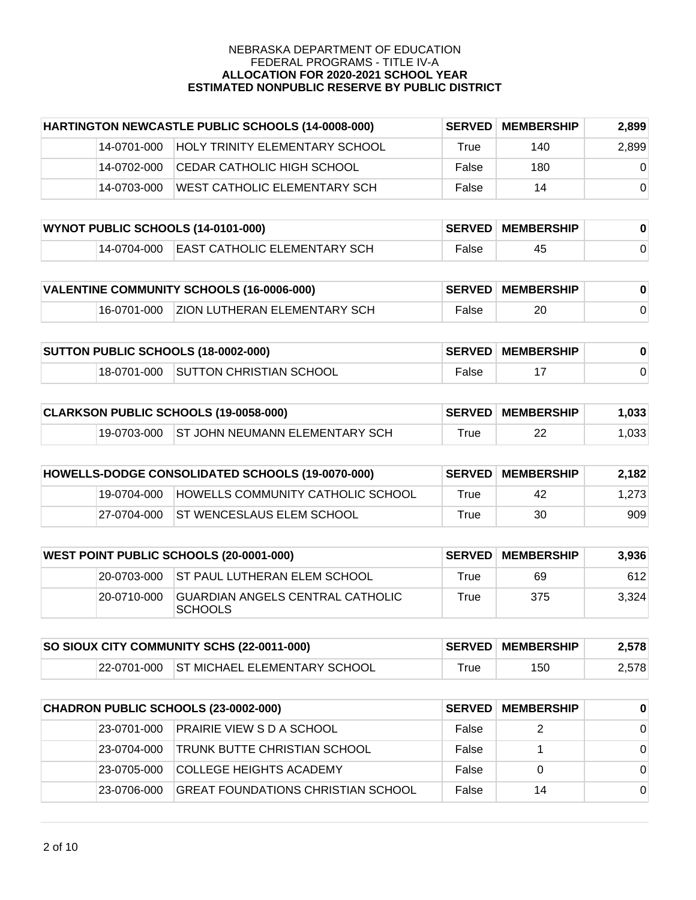| HARTINGTON NEWCASTLE PUBLIC SCHOOLS (14-0008-000) |             | <b>SERVED</b>                         | <b>MEMBERSHIP</b> | 2,899 |          |
|---------------------------------------------------|-------------|---------------------------------------|-------------------|-------|----------|
|                                                   | 14-0701-000 | <b>HOLY TRINITY ELEMENTARY SCHOOL</b> | True              | 140   | 2,899    |
|                                                   | 14-0702-000 | ICEDAR CATHOLIC HIGH SCHOOL           | False             | 180   | $\Omega$ |
|                                                   | 14-0703-000 | WEST CATHOLIC ELEMENTARY SCH          | False             | 14    | $\Omega$ |

| WYNOT PUBLIC SCHOOLS (14-0101-000) |  |                                          | <b>SERVED MEMBERSHIP</b> |    |  |
|------------------------------------|--|------------------------------------------|--------------------------|----|--|
|                                    |  | 14-0704-000 EAST CATHOLIC ELEMENTARY SCH | False                    | 45 |  |

| VALENTINE COMMUNITY SCHOOLS (16-0006-000) |  |                                          | <b>SERVED MEMBERSHIP</b> |    |  |
|-------------------------------------------|--|------------------------------------------|--------------------------|----|--|
|                                           |  | 16-0701-000 ZION LUTHERAN ELEMENTARY SCH | False                    | 20 |  |

| <b>SUTTON PUBLIC SCHOOLS (18-0002-000)</b> |             |                         | <b>SERVED MEMBERSHIP</b> |  |  |
|--------------------------------------------|-------------|-------------------------|--------------------------|--|--|
|                                            | 18-0701-000 | SUTTON CHRISTIAN SCHOOL | False                    |  |  |

| CLARKSON PUBLIC SCHOOLS (19-0058-000) |  |                                            | <b>SERVED MEMBERSHIP</b>    | 1,033 |       |
|---------------------------------------|--|--------------------------------------------|-----------------------------|-------|-------|
|                                       |  | 19-0703-000 ST JOHN NEUMANN ELEMENTARY SCH | $\mathsf{r}_{\mathsf{rue}}$ | 22    | 1,033 |

| HOWELLS-DODGE CONSOLIDATED SCHOOLS (19-0070-000) |             |                                          | <b>SERVED MEMBERSHIP</b> | 2,182 |       |
|--------------------------------------------------|-------------|------------------------------------------|--------------------------|-------|-------|
|                                                  | 19-0704-000 | <b>HOWELLS COMMUNITY CATHOLIC SCHOOL</b> | True                     | 42    | 1.273 |
|                                                  |             | 27-0704-000 ST WENCESLAUS ELEM SCHOOL    | True                     | 30    | 909   |

| <b>WEST POINT PUBLIC SCHOOLS (20-0001-000)</b> |             |                                                     | <b>SERVED MEMBERSHIP</b> | 3.936 |       |
|------------------------------------------------|-------------|-----------------------------------------------------|--------------------------|-------|-------|
|                                                |             | 20-0703-000 ST PAUL LUTHERAN ELEM SCHOOL            | True                     | 69    | 612   |
|                                                | 20-0710-000 | IGUARDIAN ANGELS CENTRAL CATHOLIC<br><b>SCHOOLS</b> | True                     | 375   | 3.324 |

| SO SIOUX CITY COMMUNITY SCHS (22-0011-000) |  |                                          | <b>SERVED MEMBERSHIP</b> | 2.578 |       |
|--------------------------------------------|--|------------------------------------------|--------------------------|-------|-------|
|                                            |  | 22-0701-000 ST MICHAEL ELEMENTARY SCHOOL | $\tau$ rue               | 150   | 2,578 |

| CHADRON PUBLIC SCHOOLS (23-0002-000) |              |                                     | <b>SERVED MEMBERSHIP</b> | $\bf{0}$ |          |
|--------------------------------------|--------------|-------------------------------------|--------------------------|----------|----------|
|                                      | 23-0701-000  | <b>PRAIRIE VIEW S D A SCHOOL</b>    | False                    | 2        | $\Omega$ |
|                                      | 23-0704-000  | <b>TRUNK BUTTE CHRISTIAN SCHOOL</b> | False                    |          | $\Omega$ |
|                                      | 23-0705-000  | <b>COLLEGE HEIGHTS ACADEMY</b>      | False                    |          | $\Omega$ |
|                                      | 123-0706-000 | GREAT FOUNDATIONS CHRISTIAN SCHOOL  | False                    | 14       | $\Omega$ |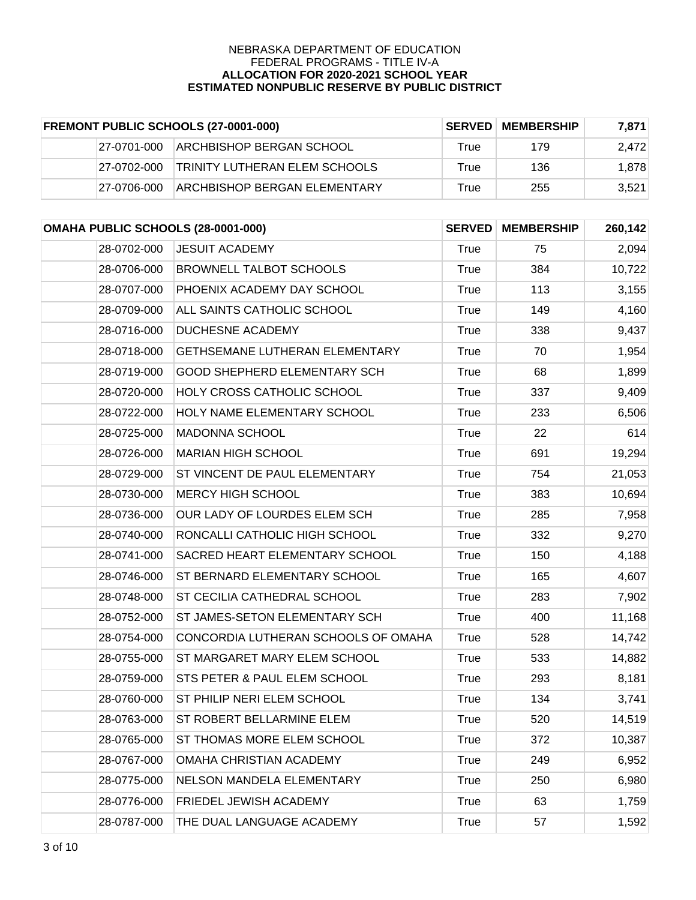| <b>FREMONT PUBLIC SCHOOLS (27-0001-000)</b> |             | <b>SERVED</b>                       | <b>MEMBERSHIP</b> | 7.871 |       |
|---------------------------------------------|-------------|-------------------------------------|-------------------|-------|-------|
|                                             | 27-0701-000 | IARCHBISHOP BERGAN SCHOOL           | True              | 179   | 2,472 |
|                                             | 27-0702-000 | TRINITY LUTHERAN ELEM SCHOOLS       | True              | 136   | 1.878 |
|                                             | 27-0706-000 | <b>ARCHBISHOP BERGAN ELEMENTARY</b> | True              | 255   | 3.521 |

| OMAHA PUBLIC SCHOOLS (28-0001-000) |                                       | <b>SERVED</b> | <b>MEMBERSHIP</b> | 260,142 |
|------------------------------------|---------------------------------------|---------------|-------------------|---------|
| 28-0702-000                        | <b>JESUIT ACADEMY</b>                 | True          | 75                | 2,094   |
| 28-0706-000                        | <b>BROWNELL TALBOT SCHOOLS</b>        | <b>True</b>   | 384               | 10,722  |
| 28-0707-000                        | PHOENIX ACADEMY DAY SCHOOL            | <b>True</b>   | 113               | 3,155   |
| 28-0709-000                        | ALL SAINTS CATHOLIC SCHOOL            | <b>True</b>   | 149               | 4,160   |
| 28-0716-000                        | <b>DUCHESNE ACADEMY</b>               | True          | 338               | 9,437   |
| 28-0718-000                        | <b>GETHSEMANE LUTHERAN ELEMENTARY</b> | <b>True</b>   | 70                | 1,954   |
| 28-0719-000                        | <b>GOOD SHEPHERD ELEMENTARY SCH</b>   | True          | 68                | 1,899   |
| 28-0720-000                        | <b>HOLY CROSS CATHOLIC SCHOOL</b>     | True          | 337               | 9,409   |
| 28-0722-000                        | HOLY NAME ELEMENTARY SCHOOL           | True          | 233               | 6,506   |
| 28-0725-000                        | MADONNA SCHOOL                        | <b>True</b>   | 22                | 614     |
| 28-0726-000                        | <b>MARIAN HIGH SCHOOL</b>             | <b>True</b>   | 691               | 19,294  |
| 28-0729-000                        | ST VINCENT DE PAUL ELEMENTARY         | <b>True</b>   | 754               | 21,053  |
| 28-0730-000                        | <b>MERCY HIGH SCHOOL</b>              | <b>True</b>   | 383               | 10,694  |
| 28-0736-000                        | OUR LADY OF LOURDES ELEM SCH          | <b>True</b>   | 285               | 7,958   |
| 28-0740-000                        | RONCALLI CATHOLIC HIGH SCHOOL         | True          | 332               | 9,270   |
| 28-0741-000                        | SACRED HEART ELEMENTARY SCHOOL        | <b>True</b>   | 150               | 4,188   |
| 28-0746-000                        | ST BERNARD ELEMENTARY SCHOOL          | True          | 165               | 4,607   |
| 28-0748-000                        | <b>ST CECILIA CATHEDRAL SCHOOL</b>    | <b>True</b>   | 283               | 7,902   |
| 28-0752-000                        | ST JAMES-SETON ELEMENTARY SCH         | True          | 400               | 11,168  |
| 28-0754-000                        | CONCORDIA LUTHERAN SCHOOLS OF OMAHA   | True          | 528               | 14,742  |
| 28-0755-000                        | ST MARGARET MARY ELEM SCHOOL          | True          | 533               | 14,882  |
| 28-0759-000                        | STS PETER & PAUL ELEM SCHOOL          | True          | 293               | 8,181   |
| 28-0760-000                        | ST PHILIP NERI ELEM SCHOOL            | <b>True</b>   | 134               | 3,741   |
| 28-0763-000                        | ST ROBERT BELLARMINE ELEM             | True          | 520               | 14,519  |
| 28-0765-000                        | ST THOMAS MORE ELEM SCHOOL            | True          | 372               | 10,387  |
| 28-0767-000                        | OMAHA CHRISTIAN ACADEMY               | <b>True</b>   | 249               | 6,952   |
| 28-0775-000                        | NELSON MANDELA ELEMENTARY             | True          | 250               | 6,980   |
| 28-0776-000                        | FRIEDEL JEWISH ACADEMY                | <b>True</b>   | 63                | 1,759   |
| 28-0787-000                        | THE DUAL LANGUAGE ACADEMY             | True          | 57                | 1,592   |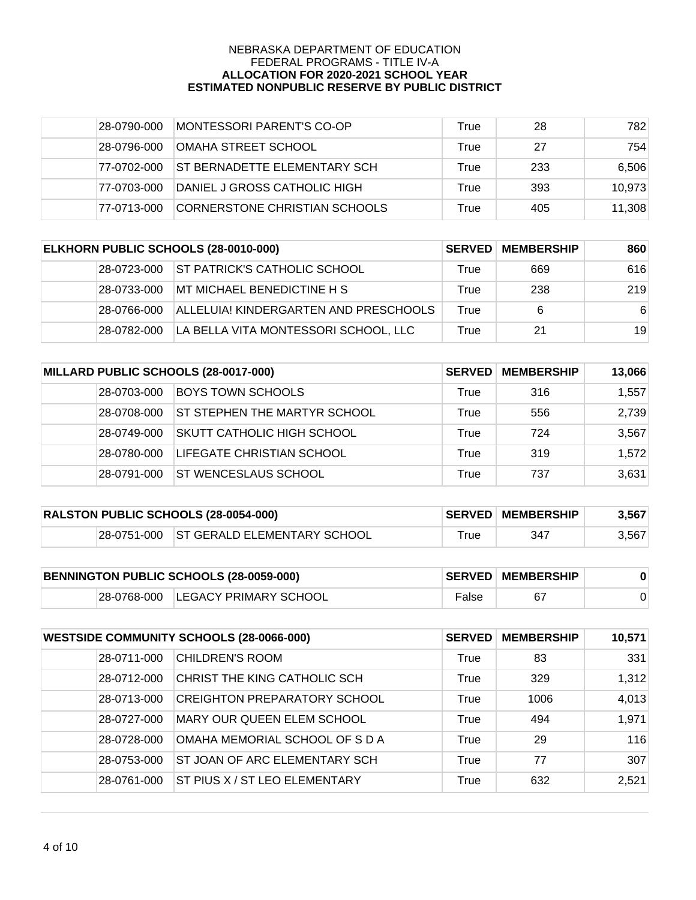| 28-0790-000  | MONTESSORI PARENT'S CO-OP     | True | 28  | 782    |
|--------------|-------------------------------|------|-----|--------|
| 28-0796-000  | <b>OMAHA STREET SCHOOL</b>    | True | 27  | 754    |
| 77-0702-000  | IST BERNADETTE ELEMENTARY SCH | True | 233 | 6,506  |
| 77-0703-000  | DANIEL J GROSS CATHOLIC HIGH  | True | 393 | 10,973 |
| 177-0713-000 | CORNERSTONE CHRISTIAN SCHOOLS | True | 405 | 11,308 |

| ELKHORN PUBLIC SCHOOLS (28-0010-000) |             | <b>SERVED</b>                         | <b>MEMBERSHIP</b> | 860 |     |
|--------------------------------------|-------------|---------------------------------------|-------------------|-----|-----|
|                                      | 28-0723-000 | <b>ST PATRICK'S CATHOLIC SCHOOL</b>   | True              | 669 | 616 |
|                                      | 28-0733-000 | MT MICHAEL BENEDICTINE H S            | True              | 238 | 219 |
|                                      | 28-0766-000 | ALLELUIA! KINDERGARTEN AND PRESCHOOLS | True              | 6   | -6  |
|                                      | 28-0782-000 | LA BELLA VITA MONTESSORI SCHOOL, LLC  | True              | 21  | 19  |

| MILLARD PUBLIC SCHOOLS (28-0017-000) |             | <b>SERVED</b>                     | <b>MEMBERSHIP</b> | 13,066 |       |
|--------------------------------------|-------------|-----------------------------------|-------------------|--------|-------|
|                                      | 28-0703-000 | <b>BOYS TOWN SCHOOLS</b>          | True              | 316    | 1,557 |
|                                      | 28-0708-000 | ST STEPHEN THE MARTYR SCHOOL      | True              | 556    | 2,739 |
|                                      | 28-0749-000 | <b>SKUTT CATHOLIC HIGH SCHOOL</b> | True              | 724    | 3,567 |
|                                      | 28-0780-000 | LIFEGATE CHRISTIAN SCHOOL         | True              | 319    | 1,572 |
|                                      | 28-0791-000 | <b>IST WENCESLAUS SCHOOL</b>      | True              | 737    | 3,631 |

| RALSTON PUBLIC SCHOOLS (28-0054-000) |  |                                         | <b>SERVED MEMBERSHIP</b> | 3.567 |       |
|--------------------------------------|--|-----------------------------------------|--------------------------|-------|-------|
|                                      |  | 28-0751-000 ST GERALD ELEMENTARY SCHOOL | ™rue                     | 347   | 3.567 |

| BENNINGTON PUBLIC SCHOOLS (28-0059-000) |  |                                   | <b>SERVED MEMBERSHIP</b> |  |  |
|-----------------------------------------|--|-----------------------------------|--------------------------|--|--|
|                                         |  | 28-0768-000 LEGACY PRIMARY SCHOOL | False                    |  |  |

| <b>WESTSIDE COMMUNITY SCHOOLS (28-0066-000)</b> |             | <b>SERVED</b>                       | <b>MEMBERSHIP</b> | 10,571 |       |
|-------------------------------------------------|-------------|-------------------------------------|-------------------|--------|-------|
|                                                 | 28-0711-000 | <b>CHILDREN'S ROOM</b>              | True              | 83     | 331   |
|                                                 | 28-0712-000 | CHRIST THE KING CATHOLIC SCH        | True              | 329    | 1,312 |
|                                                 | 28-0713-000 | <b>CREIGHTON PREPARATORY SCHOOL</b> | True              | 1006   | 4,013 |
|                                                 | 28-0727-000 | MARY OUR QUEEN ELEM SCHOOL          | True              | 494    | 1,971 |
|                                                 | 28-0728-000 | OMAHA MEMORIAL SCHOOL OF S D A      | True              | 29     | 116   |
|                                                 | 28-0753-000 | ST JOAN OF ARC ELEMENTARY SCH       | True              | 77     | 307   |
|                                                 | 28-0761-000 | ST PIUS X / ST LEO ELEMENTARY       | True              | 632    | 2,521 |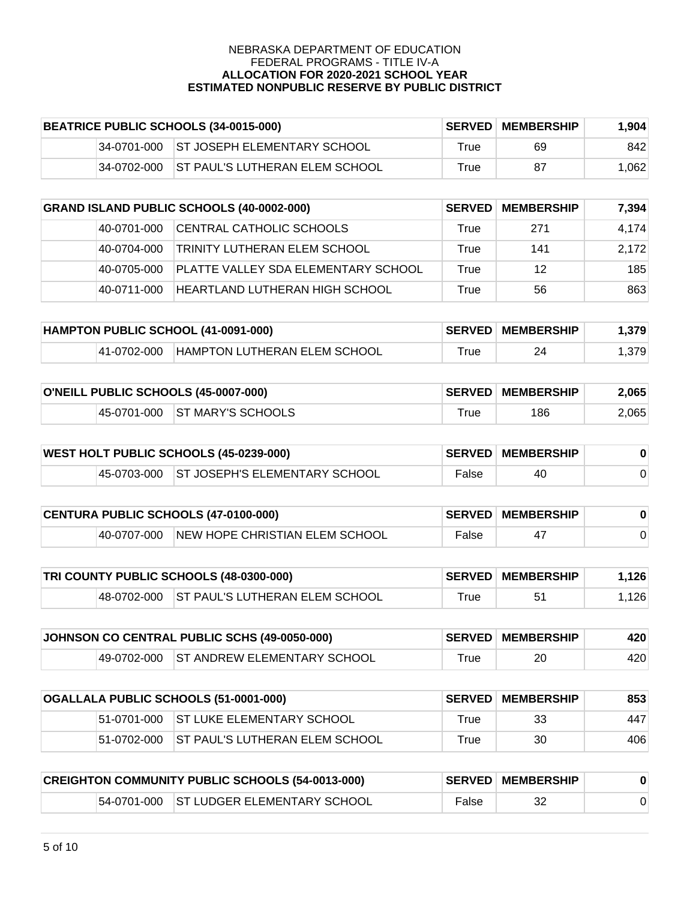| BEATRICE PUBLIC SCHOOLS (34-0015-000) |             |                                         | <b>SERVED MEMBERSHIP</b> | 1.904 |       |
|---------------------------------------|-------------|-----------------------------------------|--------------------------|-------|-------|
|                                       |             | 34-0701-000 ST JOSEPH ELEMENTARY SCHOOL | True                     | 69    | 842   |
|                                       | 34-0702-000 | <b>ST PAUL'S LUTHERAN ELEM SCHOOL</b>   | True                     | 87    | 1.062 |

| <b>GRAND ISLAND PUBLIC SCHOOLS (40-0002-000)</b> |             | <b>SERVED</b>                       | <b>MEMBERSHIP</b> | 7.394 |       |
|--------------------------------------------------|-------------|-------------------------------------|-------------------|-------|-------|
|                                                  | 40-0701-000 | CENTRAL CATHOLIC SCHOOLS            | True              | 271   | 4.174 |
|                                                  | 40-0704-000 | <b>TRINITY LUTHERAN ELEM SCHOOL</b> | True              | 141   | 2.172 |
|                                                  | 40-0705-000 | PLATTE VALLEY SDA ELEMENTARY SCHOOL | True              | 12    | 185   |
|                                                  | 40-0711-000 | HEARTLAND LUTHERAN HIGH SCHOOL      | True              | 56    | 863   |

| HAMPTON PUBLIC SCHOOL (41-0091-000) |             |                              | <b>SERVED MEMBERSHIP</b> | .379 |       |
|-------------------------------------|-------------|------------------------------|--------------------------|------|-------|
|                                     | 41-0702-000 | HAMPTON LUTHERAN ELEM SCHOOL | ™rue                     | 24   | .3791 |

| O'NEILL PUBLIC SCHOOLS (45-0007-000) |  |                               | <b>SERVED MEMBERSHIP</b> | 2,065 |       |
|--------------------------------------|--|-------------------------------|--------------------------|-------|-------|
|                                      |  | 45-0701-000 ST MARY'S SCHOOLS | $^{\mathsf{T}}$ rue      | 186   | 2,065 |

| <b>WEST HOLT PUBLIC SCHOOLS (45-0239-000)</b> |  |                                           | <b>SERVED MEMBERSHIP</b> |    |  |
|-----------------------------------------------|--|-------------------------------------------|--------------------------|----|--|
|                                               |  | 45-0703-000 ST JOSEPH'S ELEMENTARY SCHOOL | False                    | 40 |  |

| <b>CENTURA PUBLIC SCHOOLS (47-0100-000)</b> |             |                                | <b>SERVED MEMBERSHIP</b> |  |  |
|---------------------------------------------|-------------|--------------------------------|--------------------------|--|--|
|                                             | 40-0707-000 | NEW HOPE CHRISTIAN ELEM SCHOOL | False                    |  |  |

| TRI COUNTY PUBLIC SCHOOLS (48-0300-000) |  |                                            | <b>SERVED MEMBERSHIP</b> | 1.126 |      |
|-----------------------------------------|--|--------------------------------------------|--------------------------|-------|------|
|                                         |  | 48-0702-000 ST PAUL'S LUTHERAN ELEM SCHOOL | $\tau$ rue               |       | .126 |

| JOHNSON CO CENTRAL PUBLIC SCHS (49-0050-000) |  |                                         | <b>SERVED MEMBERSHIP</b> | 420 |     |
|----------------------------------------------|--|-----------------------------------------|--------------------------|-----|-----|
|                                              |  | 49-0702-000 ST ANDREW ELEMENTARY SCHOOL | True                     | 20  | 420 |

| OGALLALA PUBLIC SCHOOLS (51-0001-000) |             |                                        | <b>SERVED MEMBERSHIP</b> | 853 |     |
|---------------------------------------|-------------|----------------------------------------|--------------------------|-----|-----|
|                                       |             | 51-0701-000 ST LUKE ELEMENTARY SCHOOL  | True                     | 33  | 447 |
|                                       | 51-0702-000 | <b>IST PAUL'S LUTHERAN ELEM SCHOOL</b> | True                     | 30  | 406 |

| <b>CREIGHTON COMMUNITY PUBLIC SCHOOLS (54-0013-000)</b> |  |                                         | <b>SERVED MEMBERSHIP</b> |  |  |
|---------------------------------------------------------|--|-----------------------------------------|--------------------------|--|--|
|                                                         |  | 54-0701-000 ST LUDGER ELEMENTARY SCHOOL | False                    |  |  |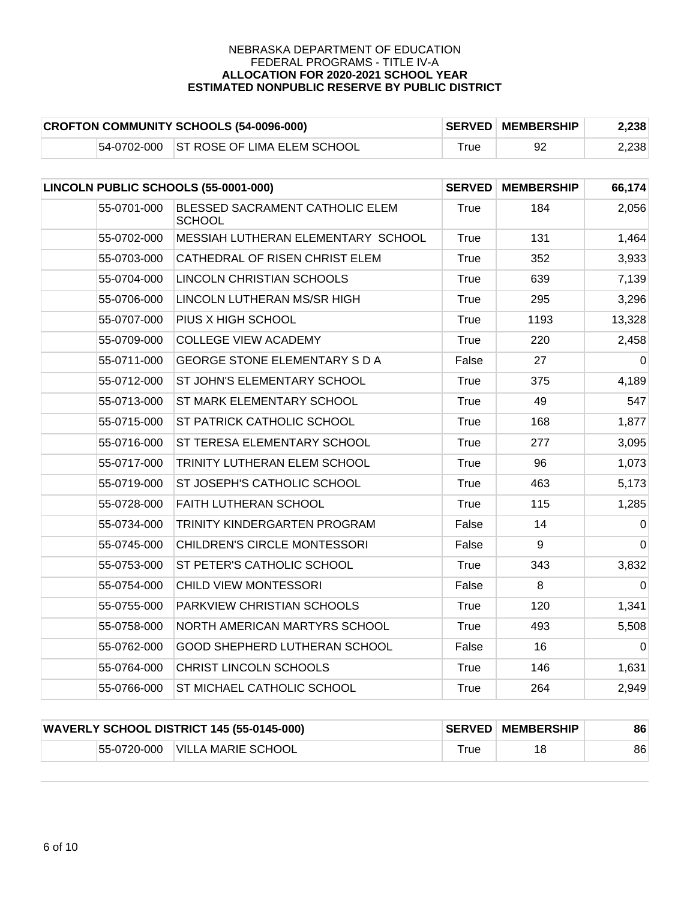| <b>CROFTON COMMUNITY SCHOOLS (54-0096-000)</b> |  |                                         | <b>SERVED MEMBERSHIP</b> | 2,238 |       |
|------------------------------------------------|--|-----------------------------------------|--------------------------|-------|-------|
|                                                |  | 54-0702-000 ST ROSE OF LIMA ELEM SCHOOL | ⊤rue                     |       | 2,238 |

| LINCOLN PUBLIC SCHOOLS (55-0001-000) |                                                  | <b>SERVED</b> | <b>MEMBERSHIP</b> | 66,174         |
|--------------------------------------|--------------------------------------------------|---------------|-------------------|----------------|
| 55-0701-000                          | BLESSED SACRAMENT CATHOLIC ELEM<br><b>SCHOOL</b> | True          | 184               | 2,056          |
| 55-0702-000                          | MESSIAH LUTHERAN ELEMENTARY SCHOOL               | True          | 131               | 1,464          |
| 55-0703-000                          | CATHEDRAL OF RISEN CHRIST ELEM                   | True          | 352               | 3,933          |
| 55-0704-000                          | LINCOLN CHRISTIAN SCHOOLS                        | True          | 639               | 7,139          |
| 55-0706-000                          | LINCOLN LUTHERAN MS/SR HIGH                      | True          | 295               | 3,296          |
| 55-0707-000                          | PIUS X HIGH SCHOOL                               | True          | 1193              | 13,328         |
| 55-0709-000                          | <b>COLLEGE VIEW ACADEMY</b>                      | True          | 220               | 2,458          |
| 55-0711-000                          | <b>GEORGE STONE ELEMENTARY S D A</b>             | False         | 27                | 0              |
| 55-0712-000                          | ST JOHN'S ELEMENTARY SCHOOL                      | True          | 375               | 4,189          |
| 55-0713-000                          | ST MARK ELEMENTARY SCHOOL                        | True          | 49                | 547            |
| 55-0715-000                          | ST PATRICK CATHOLIC SCHOOL                       | <b>True</b>   | 168               | 1,877          |
| 55-0716-000                          | ST TERESA ELEMENTARY SCHOOL                      | True          | 277               | 3,095          |
| 55-0717-000                          | TRINITY LUTHERAN ELEM SCHOOL                     | True          | 96                | 1,073          |
| 55-0719-000                          | ST JOSEPH'S CATHOLIC SCHOOL                      | <b>True</b>   | 463               | 5,173          |
| 55-0728-000                          | FAITH LUTHERAN SCHOOL                            | True          | 115               | 1,285          |
| 55-0734-000                          | TRINITY KINDERGARTEN PROGRAM                     | False         | 14                | $\overline{0}$ |
| 55-0745-000                          | CHILDREN'S CIRCLE MONTESSORI                     | False         | 9                 | $\Omega$       |
| 55-0753-000                          | ST PETER'S CATHOLIC SCHOOL                       | <b>True</b>   | 343               | 3,832          |
| 55-0754-000                          | CHILD VIEW MONTESSORI                            | False         | 8                 | $\overline{0}$ |
| 55-0755-000                          | PARKVIEW CHRISTIAN SCHOOLS                       | True          | 120               | 1,341          |
| 55-0758-000                          | NORTH AMERICAN MARTYRS SCHOOL                    | True          | 493               | 5,508          |
| 55-0762-000                          | GOOD SHEPHERD LUTHERAN SCHOOL                    | False         | 16                | $\Omega$       |
| 55-0764-000                          | CHRIST LINCOLN SCHOOLS                           | True          | 146               | 1,631          |
| 55-0766-000                          | ST MICHAEL CATHOLIC SCHOOL                       | <b>True</b>   | 264               | 2,949          |

|             | <b>WAVERLY SCHOOL DISTRICT 145 (55-0145-000)</b> |            | <b>SERVED MEMBERSHIP</b> | 86 |
|-------------|--------------------------------------------------|------------|--------------------------|----|
| 55-0720-000 | VILLA MARIE SCHOOL                               | $\tau$ rue |                          | 86 |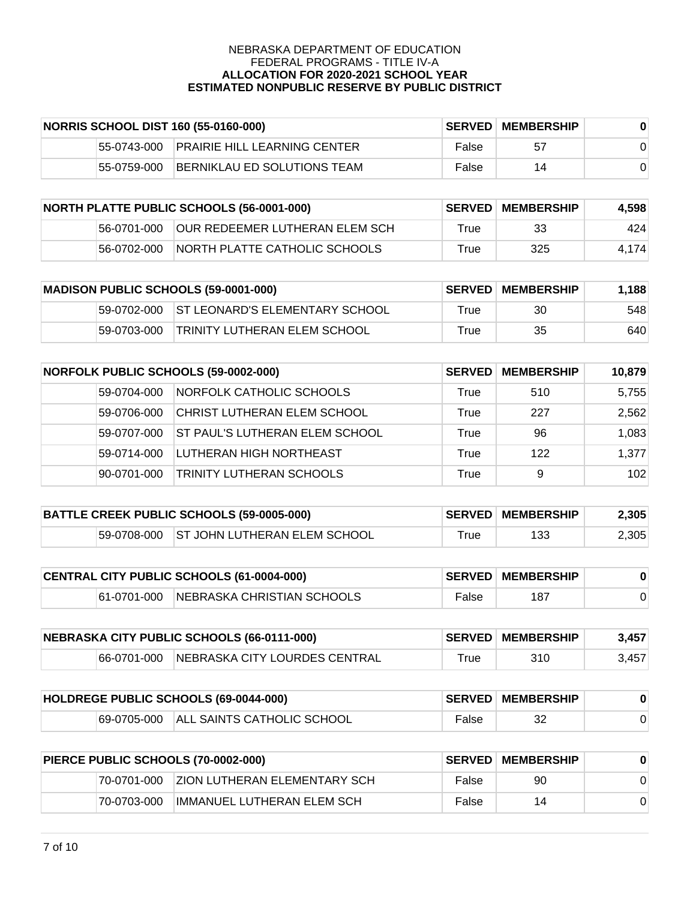|             | NORRIS SCHOOL DIST 160 (55-0160-000) |       | <b>SERVED MEMBERSHIP</b> |  |
|-------------|--------------------------------------|-------|--------------------------|--|
| 55-0743-000 | IPRAIRIE HILL LEARNING CENTER-       | False | 57                       |  |
| 55-0759-000 | BERNIKLAU ED SOLUTIONS TEAM          | False | 14                       |  |

|             | <b>NORTH PLATTE PUBLIC SCHOOLS (56-0001-000)</b> |      | <b>SERVED MEMBERSHIP</b> | 4.598 |
|-------------|--------------------------------------------------|------|--------------------------|-------|
| 56-0701-000 | <b>OUR REDEEMER LUTHERAN ELEM SCH</b>            | True | 33                       | 424   |
| 56-0702-000 | INORTH PLATTE CATHOLIC SCHOOLS                   | True | 325                      | 4.174 |

| <b>MADISON PUBLIC SCHOOLS (59-0001-000)</b> |             |                                 | <b>SERVED MEMBERSHIP</b> | 1.188 |     |
|---------------------------------------------|-------------|---------------------------------|--------------------------|-------|-----|
|                                             | 59-0702-000 | IST LEONARD'S ELEMENTARY SCHOOL | True                     | 30    | 548 |
|                                             | 59-0703-000 | TRINITY LUTHERAN ELEM SCHOOL    | True                     | 35    | 640 |

| <b>NORFOLK PUBLIC SCHOOLS (59-0002-000)</b> |             | <b>SERVED</b>                   | <b>MEMBERSHIP</b> | 10,879 |       |
|---------------------------------------------|-------------|---------------------------------|-------------------|--------|-------|
|                                             | 59-0704-000 | NORFOLK CATHOLIC SCHOOLS        | True              | 510    | 5,755 |
|                                             | 59-0706-000 | CHRIST LUTHERAN ELEM SCHOOL     | True              | 227    | 2,562 |
|                                             | 59-0707-000 | IST PAUL'S LUTHERAN ELEM SCHOOL | True              | 96     | 1,083 |
|                                             | 59-0714-000 | LUTHERAN HIGH NORTHEAST         | True              | 122    | 1,377 |
|                                             | 90-0701-000 | TRINITY LUTHERAN SCHOOLS        | True              | 9      | 102   |

| BATTLE CREEK PUBLIC SCHOOLS (59-0005-000) |  |                                          | <b>SERVED MEMBERSHIP</b> | 2,305 |       |
|-------------------------------------------|--|------------------------------------------|--------------------------|-------|-------|
|                                           |  | 59-0708-000 ST JOHN LUTHERAN ELEM SCHOOL | ⊤rue                     | 133   | 2,305 |

| CENTRAL CITY PUBLIC SCHOOLS (61-0004-000) |  |                                        | <b>SERVED MEMBERSHIP</b> |     |  |
|-------------------------------------------|--|----------------------------------------|--------------------------|-----|--|
|                                           |  | 61-0701-000 NEBRASKA CHRISTIAN SCHOOLS | False                    | 187 |  |

| NEBRASKA CITY PUBLIC SCHOOLS (66-0111-000) |             |                               | <b>SERVED MEMBERSHIP</b> | 3.457 |       |
|--------------------------------------------|-------------|-------------------------------|--------------------------|-------|-------|
|                                            | 66-0701-000 | NEBRASKA CITY LOURDES CENTRAL | True                     | 310   | 3.457 |

| HOLDREGE PUBLIC SCHOOLS (69-0044-000) |  |                                        | <b>SERVED MEMBERSHIP</b> |    |  |
|---------------------------------------|--|----------------------------------------|--------------------------|----|--|
|                                       |  | 69-0705-000 ALL SAINTS CATHOLIC SCHOOL | False                    | 32 |  |

| PIERCE PUBLIC SCHOOLS (70-0002-000) |             |                                      | <b>SERVED MEMBERSHIP</b> |    |  |
|-------------------------------------|-------------|--------------------------------------|--------------------------|----|--|
|                                     | 70-0701-000 | <b>IZION LUTHERAN ELEMENTARY SCH</b> | False                    | 90 |  |
|                                     | 70-0703-000 | IMMANUEL LUTHERAN ELEM SCH           | False                    | 14 |  |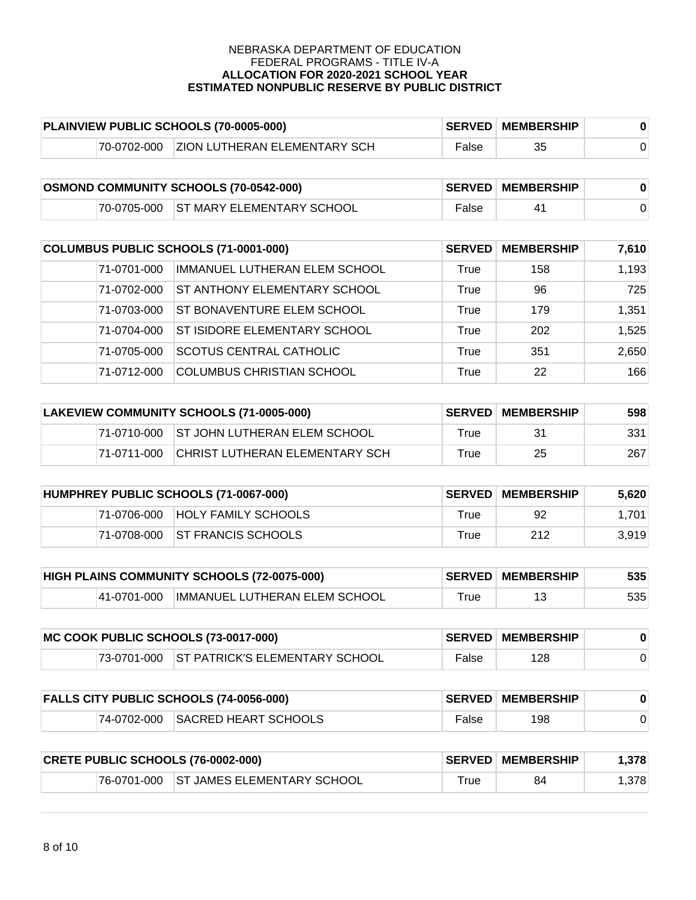| PLAINVIEW PUBLIC SCHOOLS (70-0005-000) |             |                                     | <b>SERVED MEMBERSHIP</b> |    |  |
|----------------------------------------|-------------|-------------------------------------|--------------------------|----|--|
|                                        | 70-0702-000 | <b>ZION LUTHERAN ELEMENTARY SCH</b> | False                    | 35 |  |

| <b>OSMOND COMMUNITY SCHOOLS (70-0542-000)</b> |  |                                       | <b>SERVED MEMBERSHIP</b> |  |  |
|-----------------------------------------------|--|---------------------------------------|--------------------------|--|--|
|                                               |  | 70-0705-000 ST MARY ELEMENTARY SCHOOL | False                    |  |  |

| COLUMBUS PUBLIC SCHOOLS (71-0001-000) |             | <b>SERVED</b>                       | <b>MEMBERSHIP</b> | 7,610 |       |
|---------------------------------------|-------------|-------------------------------------|-------------------|-------|-------|
|                                       | 71-0701-000 | IMMANUEL LUTHERAN ELEM SCHOOL       | True              | 158   | 1,193 |
|                                       | 71-0702-000 | <b>ST ANTHONY ELEMENTARY SCHOOL</b> | True              | 96    | 725   |
|                                       | 71-0703-000 | ST BONAVENTURE ELEM SCHOOL          | True              | 179   | 1,351 |
|                                       | 71-0704-000 | <b>ST ISIDORE ELEMENTARY SCHOOL</b> | True              | 202   | 1,525 |
|                                       | 71-0705-000 | <b>SCOTUS CENTRAL CATHOLIC</b>      | True              | 351   | 2,650 |
|                                       | 71-0712-000 | <b>COLUMBUS CHRISTIAN SCHOOL</b>    | True              | 22    | 166   |

| LAKEVIEW COMMUNITY SCHOOLS (71-0005-000) |             |                                          | <b>SERVED MEMBERSHIP</b> | 598 |     |
|------------------------------------------|-------------|------------------------------------------|--------------------------|-----|-----|
|                                          |             | 71-0710-000 ST JOHN LUTHERAN ELEM SCHOOL | True                     | 31  | 331 |
|                                          | 71-0711-000 | CHRIST LUTHERAN ELEMENTARY SCH           | True                     | 25  | 267 |

| HUMPHREY PUBLIC SCHOOLS (71-0067-000) |             |                                | <b>∣SERVED∣MEMBERSHIP</b> | 5.620 |       |
|---------------------------------------|-------------|--------------------------------|---------------------------|-------|-------|
|                                       | 71-0706-000 | <b>HOLY FAMILY SCHOOLS</b>     | True                      | 92    | 1.701 |
|                                       |             | 71-0708-000 ST FRANCIS SCHOOLS | True                      | 212   | 3.919 |

| <b>HIGH PLAINS COMMUNITY SCHOOLS (72-0075-000)</b> |             |                               | <b>SERVED MEMBERSHIP</b> | 535 |     |
|----------------------------------------------------|-------------|-------------------------------|--------------------------|-----|-----|
|                                                    | 41-0701-000 | IMMANUEL LUTHERAN ELEM SCHOOL | ⊺rue                     |     | 535 |

| MC COOK PUBLIC SCHOOLS (73-0017-000) |  |                                            | <b>SERVED MEMBERSHIP</b> |     |  |
|--------------------------------------|--|--------------------------------------------|--------------------------|-----|--|
|                                      |  | 73-0701-000 ST PATRICK'S ELEMENTARY SCHOOL | False                    | 128 |  |

|  | <b>FALLS CITY PUBLIC SCHOOLS (74-0056-000)</b> |       | <b>SERVED MEMBERSHIP</b> |  |
|--|------------------------------------------------|-------|--------------------------|--|
|  | 74-0702-000 SACRED HEART SCHOOLS               | False | 198                      |  |

| <b>CRETE PUBLIC SCHOOLS (76-0002-000)</b> |  |                                        | <b>SERVED MEMBERSHIP</b> | .378 |      |
|-------------------------------------------|--|----------------------------------------|--------------------------|------|------|
|                                           |  | 76-0701-000 ST JAMES ELEMENTARY SCHOOL | $\tau$ rue               | 84   | .378 |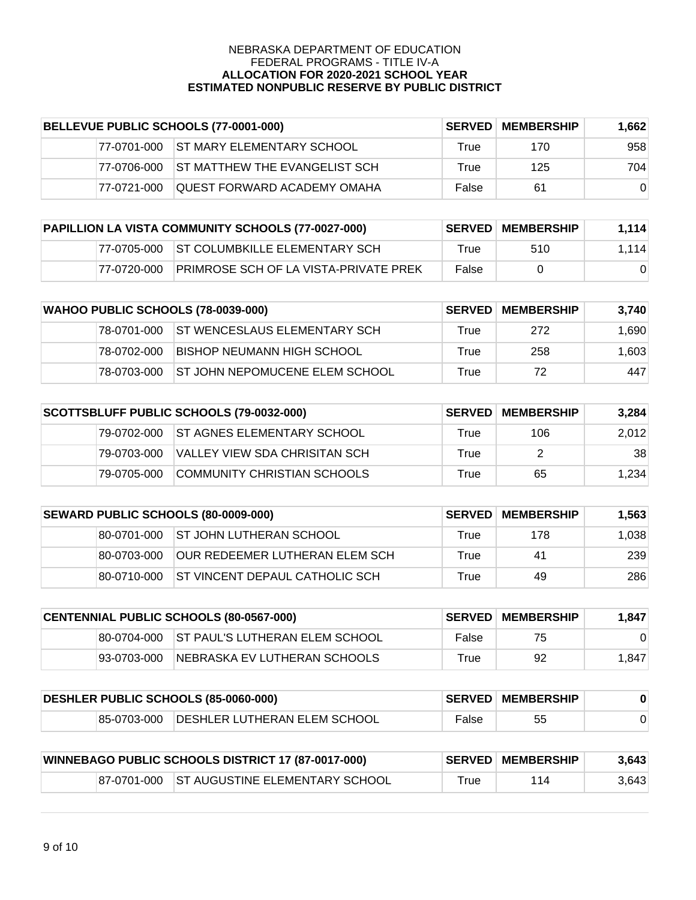| BELLEVUE PUBLIC SCHOOLS (77-0001-000) |             |                                    | <b>SERVED MEMBERSHIP</b> | 1.662 |          |
|---------------------------------------|-------------|------------------------------------|--------------------------|-------|----------|
|                                       | 77-0701-000 | <b>ST MARY ELEMENTARY SCHOOL</b>   | True                     | 170   | 958      |
|                                       | 77-0706-000 | IST MATTHEW THE EVANGELIST SCH     | True                     | 125   | 704      |
|                                       | 77-0721-000 | <b>OUEST FORWARD ACADEMY OMAHA</b> | False                    | 61    | $\Omega$ |

| PAPILLION LA VISTA COMMUNITY SCHOOLS (77-0027-000) |             |                                              | <b>SERVED MEMBERSHIP</b> | 1,114    |       |
|----------------------------------------------------|-------------|----------------------------------------------|--------------------------|----------|-------|
|                                                    |             | 77-0705-000 ST COLUMBKILLE ELEMENTARY SCH    | True                     | 510      | 1.114 |
|                                                    | 77-0720-000 | <b>PRIMROSE SCH OF LA VISTA-PRIVATE PREK</b> | False                    | $\Omega$ |       |

|             | <b>WAHOO PUBLIC SCHOOLS (78-0039-000)</b> |      | <b>SERVED MEMBERSHIP</b> | 3.740 |
|-------------|-------------------------------------------|------|--------------------------|-------|
| 78-0701-000 | <b>ST WENCESLAUS ELEMENTARY SCH</b>       | True | 272                      | 1,690 |
| 78-0702-000 | BISHOP NEUMANN HIGH SCHOOL                | True | 258                      | 1,603 |
| 78-0703-000 | <b>IST JOHN NEPOMUCENE ELEM SCHOOL</b>    | True | 72                       | 447   |

|              | SCOTTSBLUFF PUBLIC SCHOOLS (79-0032-000) |      | <b>SERVED MEMBERSHIP</b> | 3.284 |
|--------------|------------------------------------------|------|--------------------------|-------|
|              | 79-0702-000 IST AGNES ELEMENTARY SCHOOL  | True | 106                      | 2,012 |
| 79-0703-000  | VALLEY VIEW SDA CHRISITAN SCH            | True |                          | 38    |
| 179-0705-000 | COMMUNITY CHRISTIAN SCHOOLS              | True | 65                       | 1.234 |

|              | <b>SEWARD PUBLIC SCHOOLS (80-0009-000)</b> |      | <b>SERVED MEMBERSHIP</b> | 1.563 |
|--------------|--------------------------------------------|------|--------------------------|-------|
|              | 80-0701-000 ST JOHN LUTHERAN SCHOOL        | True | 178                      | 1,038 |
| 180-0703-000 | IOUR REDEEMER LUTHERAN ELEM SCH            | True | 41                       | 239   |
| 80-0710-000  | IST VINCENT DEPAUL CATHOLIC SCH            | True | 49                       | 286   |

|             | <b>CENTENNIAL PUBLIC SCHOOLS (80-0567-000)</b> | <b>SERVED</b> | <b>MEMBERSHIP</b> | 1.847 |
|-------------|------------------------------------------------|---------------|-------------------|-------|
|             | 180-0704-000 IST PAUL'S LUTHERAN ELEM SCHOOL   | False         | 75                |       |
| 93-0703-000 | INEBRASKA EV LUTHERAN SCHOOLS                  | True          | 92                | 1,847 |

| DESHLER PUBLIC SCHOOLS (85-0060-000) |                                          |       | <b>SERVED MEMBERSHIP</b> |  |
|--------------------------------------|------------------------------------------|-------|--------------------------|--|
|                                      | 85-0703-000 DESHLER LUTHERAN ELEM SCHOOL | False | 55                       |  |

| <b>WINNEBAGO PUBLIC SCHOOLS DISTRICT 17 (87-0017-000)</b> |                                            |      | <b>SERVED MEMBERSHIP</b> | 3,643 |
|-----------------------------------------------------------|--------------------------------------------|------|--------------------------|-------|
|                                                           | 87-0701-000 ST AUGUSTINE ELEMENTARY SCHOOL | True | 114                      | 3,643 |